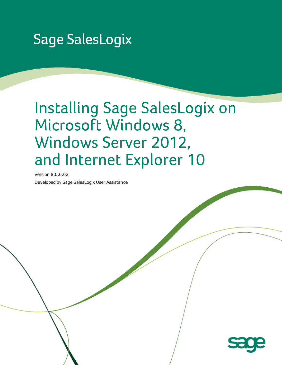# **Sage SalesLogix**

# Installing Sage SalesLogix on Microsoft Windows 8, Windows Server 2012, and Internet Explorer 10

Version 8.0.0.02

Developed by Sage SalesLogix User Assistance

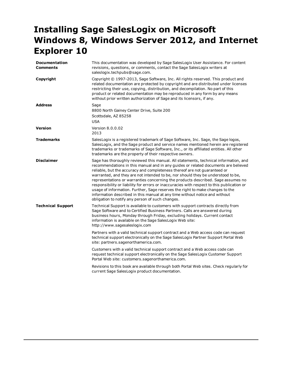# **Installing Sage SalesLogix on Microsoft Windows 8, Windows Server 2012, and Internet Explorer 10**

| <b>Documentation</b><br><b>Comments</b> | This documentation was developed by Sage SalesLogix User Assistance. For content<br>revisions, questions, or comments, contact the Sage SalesLogix writers at<br>saleslogix.techpubs@sage.com.                                                                                                                                                                                                                                                                                                                                                                                                                                                                                                                                                    |  |  |
|-----------------------------------------|---------------------------------------------------------------------------------------------------------------------------------------------------------------------------------------------------------------------------------------------------------------------------------------------------------------------------------------------------------------------------------------------------------------------------------------------------------------------------------------------------------------------------------------------------------------------------------------------------------------------------------------------------------------------------------------------------------------------------------------------------|--|--|
| Copyright                               | Copyright © 1997-2013, Sage Software, Inc. All rights reserved. This product and<br>related documentation are protected by copyright and are distributed under licenses<br>restricting their use, copying, distribution, and decompilation. No part of this<br>product or related documentation may be reproduced in any form by any means<br>without prior written authorization of Sage and its licensors, if any.                                                                                                                                                                                                                                                                                                                              |  |  |
| <b>Address</b>                          | Sage<br>8800 North Gainey Center Drive, Suite 200<br>Scottsdale, AZ 85258<br><b>USA</b>                                                                                                                                                                                                                                                                                                                                                                                                                                                                                                                                                                                                                                                           |  |  |
| Version                                 | Version 8.0.0.02<br>2013                                                                                                                                                                                                                                                                                                                                                                                                                                                                                                                                                                                                                                                                                                                          |  |  |
| <b>Trademarks</b>                       | SalesLogix is a registered trademark of Sage Software, Inc. Sage, the Sage logos,<br>SalesLogix, and the Sage product and service names mentioned herein are registered<br>trademarks or trademarks of Sage Software, Inc., or its affiliated entities. All other<br>trademarks are the property of their respective owners.                                                                                                                                                                                                                                                                                                                                                                                                                      |  |  |
| <b>Disclaimer</b>                       | Sage has thoroughly reviewed this manual. All statements, technical information, and<br>recommendations in this manual and in any guides or related documents are believed<br>reliable, but the accuracy and completeness thereof are not guaranteed or<br>warranted, and they are not intended to be, nor should they be understood to be,<br>representations or warranties concerning the products described. Sage assumes no<br>responsibility or liability for errors or inaccuracies with respect to this publication or<br>usage of information. Further, Sage reserves the right to make changes to the<br>information described in this manual at any time without notice and without<br>obligation to notify any person of such changes. |  |  |
| <b>Technical Support</b>                | Technical Support is available to customers with support contracts directly from<br>Sage Software and to Certified Business Partners. Calls are answered during<br>business hours, Monday through Friday, excluding holidays. Current contact<br>information is available on the Sage SalesLogix Web site:<br>http://www.sagesaleslogix.com                                                                                                                                                                                                                                                                                                                                                                                                       |  |  |
|                                         | Partners with a valid technical support contract and a Web access code can request<br>technical support electronically on the Sage SalesLogix Partner Support Portal Web<br>site: partners.sagenorthamerica.com.                                                                                                                                                                                                                                                                                                                                                                                                                                                                                                                                  |  |  |
|                                         | Customers with a valid technical support contract and a Web access code can<br>request technical support electronically on the Sage SalesLogix Customer Support<br>Portal Web site: customers.sagenorthamerica.com.                                                                                                                                                                                                                                                                                                                                                                                                                                                                                                                               |  |  |
|                                         | Revisions to this book are available through both Portal Web sites. Check regularly for<br>current Sage SalesLogix product documentation.                                                                                                                                                                                                                                                                                                                                                                                                                                                                                                                                                                                                         |  |  |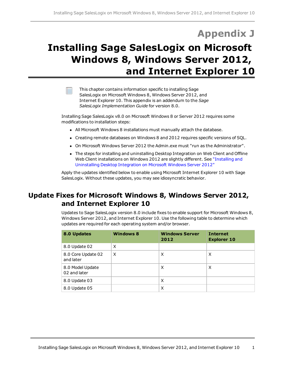# **Appendix J**

# **Installing Sage SalesLogix on Microsoft Windows 8, Windows Server 2012, and Internet Explorer 10**

This chapter contains information specific to installing Sage SalesLogix on Microsoft Windows 8, Windows Server 2012, and Internet Explorer 10. This appendix is an addendum to the *Sage SalesLogix Implementation Guide* for version 8.0.

Installing Sage SalesLogix v8.0 on Microsoft Windows 8 or Server 2012 requires some modifications to installation steps:

- All Microsoft Windows 8 installations must manually attach the database.
- Creating remote databases on Windows 8 and 2012 requires specific versions of SQL.
- On Microsoft Windows Server 2012 the Admin.exe must "run as the Administrator".
- The steps for installing and uninstalling Desktop Integration on Web Client and Offline Web Client installations on Windows 2012 are slightly different. See ["Installing](#page-5-0) [and](#page-5-0) [Uninstalling](#page-5-0) [Desktop](#page-5-0) [Integration](#page-5-0) [on](#page-5-0) [Microsoft](#page-5-0) [Windows](#page-5-0) [Server](#page-5-0) [2012"](#page-5-0)

Apply the updates identified below to enable using Microsoft Internet Explorer 10 with Sage SalesLogix. Without these updates, you may see idiosyncratic behavior.

# **Update Fixes for Microsoft Windows 8, Windows Server 2012, and Internet Explorer 10**

Updates to Sage SalesLogix version 8.0 include fixes to enable support for Microsoft Windows 8, Windows Server 2012, and Internet Explorer 10. Use the following table to determine which updates are required for each operating system and/or browser.

| 8.0 Updates                      | <b>Windows 8</b> | <b>Windows Server</b><br>2012 | <b>Internet</b><br><b>Explorer 10</b> |
|----------------------------------|------------------|-------------------------------|---------------------------------------|
| 8.0 Update 02                    | X                |                               |                                       |
| 8.0 Core Update 02<br>and later  | X                | X                             | X                                     |
| 8.0 Model Update<br>02 and later |                  | X                             | X                                     |
| 8.0 Update 03                    |                  | X                             |                                       |
| 8.0 Update 05                    |                  | X                             |                                       |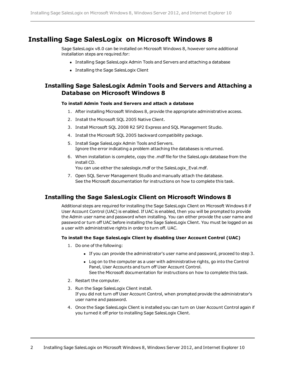# **Installing Sage SalesLogix on Microsoft Windows 8**

Sage SalesLogix v8.0 can be installed on Microsoft Windows 8, however some additional installation steps are required.for:

- Installing Sage SalesLogix Admin Tools and Servers and attaching a database
- Installing the Sage SalesLogix Client

### **Installing Sage SalesLogix Admin Tools and Servers and Attaching a Database on Microsoft Windows 8**

#### **To install Admin Tools and Servers and attach a database**

- 1. After installing Microsoft Windows 8, provide the appropriate administrative access.
- 2. Install the Microsoft SQL 2005 Native Client.
- 3. Install Microsoft SQL 2008 R2 SP2 Express and SQL Management Studio.
- 4. Install the Microsoft SQL 2005 backward compatibility package.
- 5. Install Sage SalesLogix Admin Tools and Servers. Ignore the error indicating a problem attaching the databases is returned.
- 6. When installation is complete, copy the .mdf file for the SalesLogix database from the install CD.

You can use either the saleslogix.mdf or the SalesLogix Eval.mdf.

7. Open SQL Server Management Studio and manually attach the database. See the Microsoft documentation for instructions on how to complete this task.

### **Installing the Sage SalesLogix Client on Microsoft Windows 8**

Additional steps are required for installing the Sage SalesLogix Client on Microsoft Windows 8 if User Account Control (UAC) is enabled. If UAC is enabled, then you will be prompted to provide the Admin user name and password when installing. You can either provide the user name and password or turn off UAC before installing the Sage SalesLogix Client. You must be logged on as a user with administrative rights in order to turn off. UAC.

#### **To install the Sage SalesLogix Client by disabling User Account Control (UAC)**

- 1. Do one of the following:
	- <sup>l</sup> If you can provide the administrator's user name and password, proceed to step 3.
	- Log on to the computer as a user with administrative rights, go into the Control Panel, User Accounts and turn off User Account Control. See the Microsoft documentation for instructions on how to complete this task.
- 2. Restart the computer.
- 3. Run the Sage SalesLogix Client install. If you did not turn off User Account Control, when prompted provide the administrator's user name and password.
- 4. Once the Sage SalesLogix Client is installed you can turn on User Account Control again if you turned it off prior to installing Sage SalesLogix Client.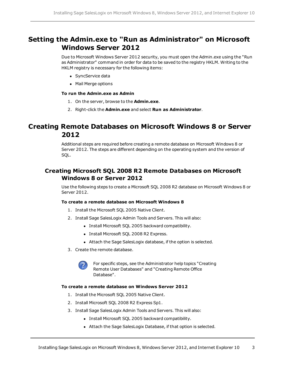# **Setting the Admin.exe to "Run as Administrator" on Microsoft Windows Server 2012**

Due to Microsoft Windows Server 2012 security, you must open the Admin.exe using the "Run as Administrator" command in order for data to be saved to the registry HKLM. Writing to the HKLM registry is necessary for the following items:

- SyncService data
- Mail Merge options

#### **To run the Admin.exe as Admin**

- 1. On the server, browse to the **Admin.exe**.
- 2. Right-click the **Admin.exe** and select **Run as Administrator**.

# **Creating Remote Databases on Microsoft Windows 8 or Server 2012**

Additional steps are required before creating a remote database on Microsoft Windows 8 or Server 2012. The steps are different depending on the operating system and the version of SQL.

## **Creating Microsoft SQL 2008 R2 Remote Databases on Microsoft Windows 8 or Server 2012**

Use the following steps to create a Microsoft SQL 2008 R2 database on Microsoft Windows 8 or Server 2012.

#### **To create a remote database on Microsoft Windows 8**

- 1. Install the Microsoft SQL 2005 Native Client.
- 2. Install Sage SalesLogix Admin Tools and Servers. This will also:
	- Install Microsoft SQL 2005 backward compatibility.
	- Install Microsoft SQL 2008 R2 Express.
	- Attach the Sage SalesLogix database, if the option is selected.
- 3. Create the remote database.



For specific steps, see the Administrator help topics "Creating Remote User Databases" and "Creating Remote Office Database".

#### **To create a remote database on Windows Server 2012**

- 1. Install the Microsoft SQL 2005 Native Client.
- 2. Install Microsoft SQL 2008 R2 Express Sp1.
- 3. Install Sage SalesLogix Admin Tools and Servers. This will also:
	- Install Microsoft SQL 2005 backward compatibility.
	- Attach the Sage SalesLogix Database, if that option is selected.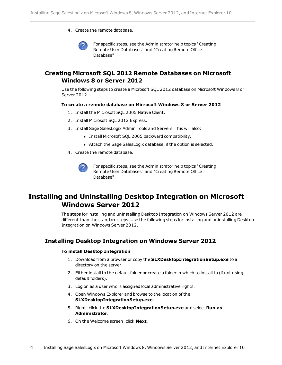4. Create the remote database.



For specific steps, see the Administrator help topics "Creating Remote User Databases" and "Creating Remote Office Database".

## **Creating Microsoft SQL 2012 Remote Databases on Microsoft Windows 8 or Server 2012**

Use the following steps to create a Microsoft SQL 2012 database on Microsoft Windows 8 or Server 2012.

#### **To create a remote database on Microsoft Windows 8 or Server 2012**

- 1. Install the Microsoft SQL 2005 Native Client.
- 2. Install Microsoft SQL 2012 Express.
- 3. Install Sage SalesLogix Admin Tools and Servers. This will also:
	- Install Microsoft SQL 2005 backward compatibility.
	- Attach the Sage SalesLogix database, if the option is selected.
- 4. Create the remote database.



For specific steps, see the Administrator help topics "Creating Remote User Databases" and "Creating Remote Office Database".

# **Installing and Uninstalling Desktop Integration on Microsoft Windows Server 2012**

<span id="page-5-0"></span>The steps for installing and uninstalling Desktop Integration on Windows Server 2012 are different than the standard steps. Use the following steps for installing and uninstalling Desktop Integration on Windows Server 2012.

### **Installing Desktop Integration on Windows Server 2012**

#### **To install Desktop Integration**

- 1. Download from a browser or copy the **SLXDesktopIntegrationSetup.exe** to a directory on the server.
- 2. Either install to the default folder or create a folder in which to install to (if not using default folders).
- 3. Log on as a user who is assigned local administrative rights.
- 4. Open Windows Explorer and browse to the location of the **SLXDesktopIntegrationSetup.exe**.
- 5. Right- click the **SLXDesktopIntegrationSetup.exe** and select **Run as Administrator**.
- 6. On the Welcome screen, click **Next**.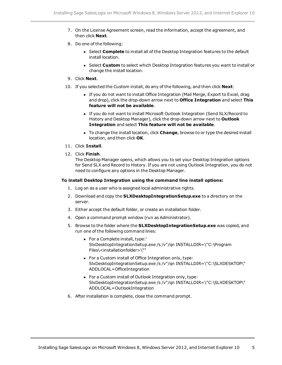- 7. On the License Agreement screen, read the information, accept the agreement, and then click **Next**.
- 8. Do one of the following:
	- **.** Select **Complete** to install all of the Desktop Integration features to the default install location.
	- **.** Select Custom to select which Desktop Integration features you want to install or change the install location.
- 9. Click **Next**.
- 10. If you selected the Custom install, do any of the following, and then click **Next**:
	- If you do not want to install Office Integration (Mail Merge, Export to Excel, drag and drop), click the drop-down arrow next to **Office Integration** and select **This feature will not be available**.
	- If you do not want to install Microsoft Outlook Integration (Send SLX/Record to History and Desktop Manager), click the drop-down arrow next to **Outlook Integration** and select **This feature will not be available**.
	- **•** To change the install location, click **Change**, browse to or type the desired install location, and then click **OK**.
- 11. Click **Install**.
- 12. Click **Finish**.

The Desktop Manager opens, which allows you to set your Desktop Integration options for Send SLX and Record to History. If you are not using Outlook Integration, you do not need to configure any options in the Desktop Manager.

#### **To install Desktop Integration using the command line install options:**

- 1. Log on as a user who is assigned local administrative rights.
- 2. Download and copy the **SLXDesktopIntegrationSetup.exe** to a directory on the server.
- 3. Either accept the default folder, or create an installation folder.
- 4. Open a command prompt window (run as Administrator).
- 5. Browse to the folder where the **SLXDesktopIntegrationSetup.exe** was copied, and run one of the following command lines:
	- For a Complete install, type:' SlxDesktopIntegrationSetup.exe /s /v"/qn INSTALLDIR=\"C:\Program Files\<installationfolder>\""
	- For a Custom install of Office Integration only, type: SlxDesktopIntegrationSetup.exe /s /v"/qn INSTALLDIR=\"C:\SLXDESKTOP\" ADDLOCAL=OfficeIntegration
	- For a Custom install of Outlook Integration only, type: SlxDesktopIntegrationSetup.exe /s /v"/qn INSTALLDIR=\"C:\SLXDESKTOP\" ADDLOCAL=OutlookIntegration
- 6. After installation is complete, close the command prompt.